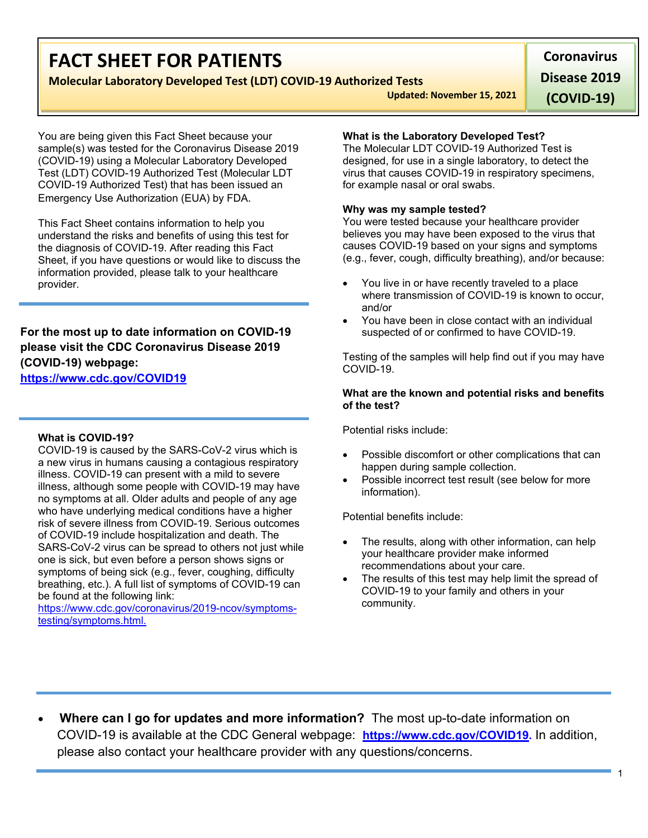# **FACT SHEET FOR PATIENTS**

## **Molecular Laboratory Developed Test (LDT) COVID-19 Authorized Tests**

**Updated: November 15, 2021 Disease 2019** 

**(COVID-19)**

**Coronavirus** 

You are being given this Fact Sheet because your sample(s) was tested for the Coronavirus Disease 2019 (COVID-19) using a Molecular Laboratory Developed Test (LDT) COVID-19 Authorized Test (Molecular LDT COVID-19 Authorized Test) that has been issued an Emergency Use Authorization (EUA) by FDA.

This Fact Sheet contains information to help you understand the risks and benefits of using this test for the diagnosis of COVID-19. After reading this Fact Sheet, if you have questions or would like to discuss the information provided, please talk to your healthcare provider.

**For the most up to date information on COVID-19 please visit the CDC Coronavirus Disease 2019 (COVID-19) webpage:** 

**[https://www.cdc.gov/COVID19](https://www.cdc.gov/nCoV)**

## **What is COVID-19?**

COVID-19 is caused by the SARS-CoV-2 virus which is a new virus in humans causing a contagious respiratory illness. COVID-19 can present with a mild to severe illness, although some people with COVID-19 may have no symptoms at all. Older adults and people of any age who have underlying medical conditions have a higher risk of severe illness from COVID-19. Serious outcomes of COVID-19 include hospitalization and death. The SARS-CoV-2 virus can be spread to others not just while one is sick, but even before a person shows signs or symptoms of being sick (e.g., fever, coughing, difficulty breathing, etc.). A full list of symptoms of COVID-19 can be found at the following link:

[https://www.cdc.gov/coronavirus/2019-ncov/symptoms](https://www.cdc.gov/coronavirus/2019-ncov/symptoms-testing/symptoms.html)[testing/symptoms.html.](https://www.cdc.gov/coronavirus/2019-ncov/symptoms-testing/symptoms.html)

## **What is the Laboratory Developed Test?**

The Molecular LDT COVID-19 Authorized Test is designed, for use in a single laboratory, to detect the virus that causes COVID-19 in respiratory specimens, for example nasal or oral swabs.

### **Why was my sample tested?**

You were tested because your healthcare provider believes you may have been exposed to the virus that causes COVID-19 based on your signs and symptoms (e.g., fever, cough, difficulty breathing), and/or because:

- You live in or have recently traveled to a place where transmission of COVID-19 is known to occur. and/or
- You have been in close contact with an individual suspected of or confirmed to have COVID-19.

Testing of the samples will help find out if you may have COVID-19.

### **What are the known and potential risks and benefits of the test?**

Potential risks include:

- Possible discomfort or other complications that can happen during sample collection.
- Possible incorrect test result (see below for more information).

Potential benefits include:

- The results, along with other information, can help your healthcare provider make informed recommendations about your care.
- The results of this test may help limit the spread of COVID-19 to your family and others in your community.

• **Where can I go for updates and more information?** The most up-to-date information on COVID-19 is available at the CDC General webpage: **[https://www.cdc.gov/COVID19.](https://www.cdc.gov/nCoV)** In addition, please also contact your healthcare provider with any questions/concerns.